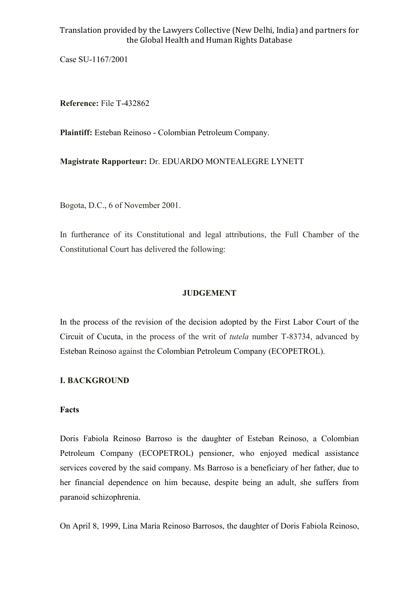Case SU-1167/2001

**Reference:** File T-432862

**Plaintiff:** Esteban Reinoso - Colombian Petroleum Company.

**Magistrate Rapporteur:** Dr. EDUARDO MONTEALEGRE LYNETT

Bogota, D.C., 6 of November 2001.

In furtherance of its Constitutional and legal attributions, the Full Chamber of the Constitutional Court has delivered the following:

## **JUDGEMENT**

In the process of the revision of the decision adopted by the First Labor Court of the Circuit of Cucuta, in the process of the writ of *tutela* number T-83734, advanced by Esteban Reinoso against the Colombian Petroleum Company (ECOPETROL).

## **I. BACKGROUND**

#### **Facts**

Doris Fabiola Reinoso Barroso is the daughter of Esteban Reinoso, a Colombian Petroleum Company (ECOPETROL) pensioner, who enjoyed medical assistance services covered by the said company. Ms Barroso is a beneficiary of her father, due to her financial dependence on him because, despite being an adult, she suffers from paranoid schizophrenia.

On April 8, 1999, Lina María Reinoso Barrosos, the daughter of Doris Fabiola Reinoso,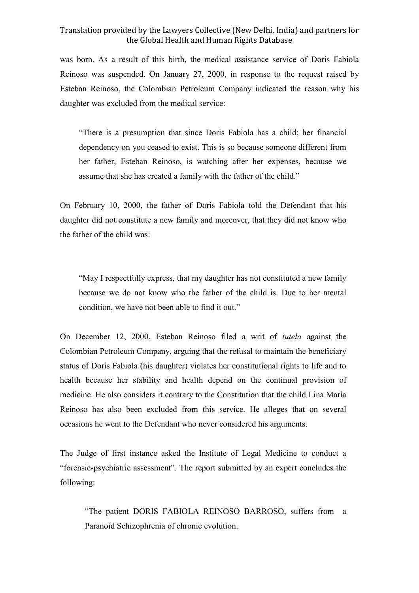was born. As a result of this birth, the medical assistance service of Doris Fabiola Reinoso was suspended. On January 27, 2000, in response to the request raised by Esteban Reinoso, the Colombian Petroleum Company indicated the reason why his daughter was excluded from the medical service:

"There is a presumption that since Doris Fabiola has a child; her financial dependency on you ceased to exist. This is so because someone different from her father, Esteban Reinoso, is watching after her expenses, because we assume that she has created a family with the father of the child."

On February 10, 2000, the father of Doris Fabiola told the Defendant that his daughter did not constitute a new family and moreover, that they did not know who the father of the child was:

"May I respectfully express, that my daughter has not constituted a new family because we do not know who the father of the child is. Due to her mental condition, we have not been able to find it out."

On December 12, 2000, Esteban Reinoso filed a writ of *tutela* against the Colombian Petroleum Company, arguing that the refusal to maintain the beneficiary status of Doris Fabiola (his daughter) violates her constitutional rights to life and to health because her stability and health depend on the continual provision of medicine. He also considers it contrary to the Constitution that the child Lina María Reinoso has also been excluded from this service. He alleges that on several occasions he went to the Defendant who never considered his arguments.

The Judge of first instance asked the Institute of Legal Medicine to conduct a "forensic-psychiatric assessment". The report submitted by an expert concludes the following:

"The patient DORIS FABIOLA REINOSO BARROSO, suffers from a Paranoid Schizophrenia of chronic evolution.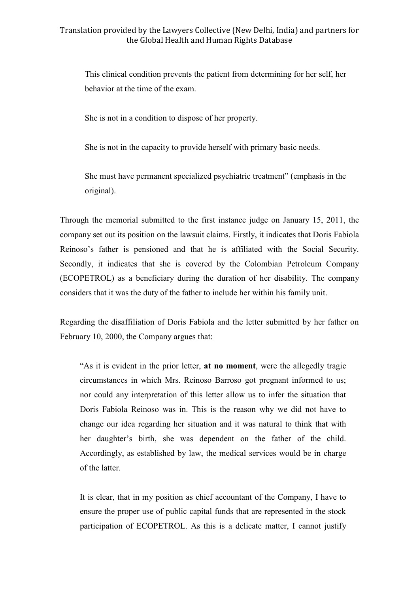This clinical condition prevents the patient from determining for her self, her behavior at the time of the exam.

She is not in a condition to dispose of her property.

She is not in the capacity to provide herself with primary basic needs.

She must have permanent specialized psychiatric treatment" (emphasis in the original).

Through the memorial submitted to the first instance judge on January 15, 2011, the company set out its position on the lawsuit claims. Firstly, it indicates that Doris Fabiola Reinoso's father is pensioned and that he is affiliated with the Social Security. Secondly, it indicates that she is covered by the Colombian Petroleum Company (ECOPETROL) as a beneficiary during the duration of her disability. The company considers that it was the duty of the father to include her within his family unit.

Regarding the disaffiliation of Doris Fabiola and the letter submitted by her father on February 10, 2000, the Company argues that:

"As it is evident in the prior letter, **at no moment**, were the allegedly tragic circumstances in which Mrs. Reinoso Barroso got pregnant informed to us; nor could any interpretation of this letter allow us to infer the situation that Doris Fabiola Reinoso was in. This is the reason why we did not have to change our idea regarding her situation and it was natural to think that with her daughter's birth, she was dependent on the father of the child. Accordingly, as established by law, the medical services would be in charge of the latter.

It is clear, that in my position as chief accountant of the Company, I have to ensure the proper use of public capital funds that are represented in the stock participation of ECOPETROL. As this is a delicate matter, I cannot justify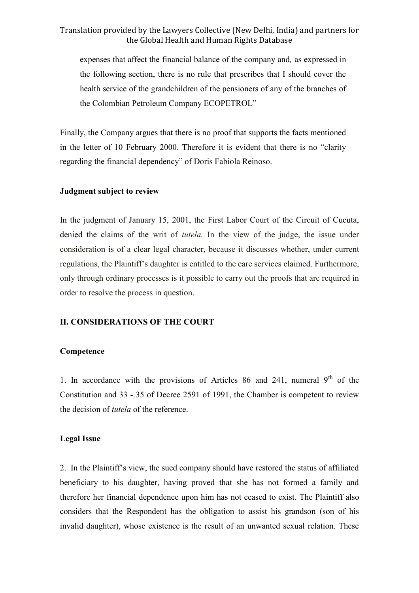expenses that affect the financial balance of the company and*,* as expressed in the following section, there is no rule that prescribes that I should cover the health service of the grandchildren of the pensioners of any of the branches of the Colombian Petroleum Company ECOPETROL"

Finally, the Company argues that there is no proof that supports the facts mentioned in the letter of 10 February 2000. Therefore it is evident that there is no "clarity regarding the financial dependency" of Doris Fabiola Reinoso.

#### **Judgment subject to review**

In the judgment of January 15, 2001, the First Labor Court of the Circuit of Cucuta, denied the claims of the writ of *tutela.* In the view of the judge, the issue under consideration is of a clear legal character, because it discusses whether, under current regulations, the Plaintiff's daughter is entitled to the care services claimed. Furthermore, only through ordinary processes is it possible to carry out the proofs that are required in order to resolve the process in question.

#### **II. CONSIDERATIONS OF THE COURT**

#### **Competence**

1. In accordance with the provisions of Articles 86 and 241, numeral  $9<sup>th</sup>$  of the Constitution and 33 - 35 of Decree 2591 of 1991, the Chamber is competent to review the decision of *tutela* of the reference.

#### **Legal Issue**

2. In the Plaintiff's view, the sued company should have restored the status of affiliated beneficiary to his daughter, having proved that she has not formed a family and therefore her financial dependence upon him has not ceased to exist. The Plaintiff also considers that the Respondent has the obligation to assist his grandson (son of his invalid daughter), whose existence is the result of an unwanted sexual relation. These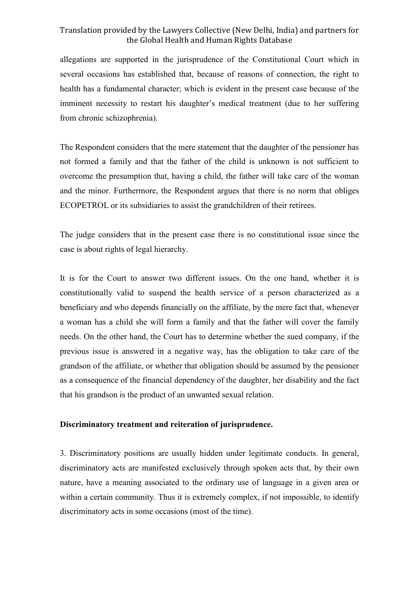allegations are supported in the jurisprudence of the Constitutional Court which in several occasions has established that, because of reasons of connection, the right to health has a fundamental character; which is evident in the present case because of the imminent necessity to restart his daughter's medical treatment (due to her suffering from chronic schizophrenia).

The Respondent considers that the mere statement that the daughter of the pensioner has not formed a family and that the father of the child is unknown is not sufficient to overcome the presumption that, having a child, the father will take care of the woman and the minor. Furthermore, the Respondent argues that there is no norm that obliges ECOPETROL or its subsidiaries to assist the grandchildren of their retirees.

The judge considers that in the present case there is no constitutional issue since the case is about rights of legal hierarchy.

It is for the Court to answer two different issues. On the one hand, whether it is constitutionally valid to suspend the health service of a person characterized as a beneficiary and who depends financially on the affiliate, by the mere fact that, whenever a woman has a child she will form a family and that the father will cover the family needs. On the other hand, the Court has to determine whether the sued company, if the previous issue is answered in a negative way, has the obligation to take care of the grandson of the affiliate, or whether that obligation should be assumed by the pensioner as a consequence of the financial dependency of the daughter, her disability and the fact that his grandson is the product of an unwanted sexual relation.

#### **Discriminatory treatment and reiteration of jurisprudence.**

3. Discriminatory positions are usually hidden under legitimate conducts. In general, discriminatory acts are manifested exclusively through spoken acts that, by their own nature, have a meaning associated to the ordinary use of language in a given area or within a certain community. Thus it is extremely complex, if not impossible, to identify discriminatory acts in some occasions (most of the time).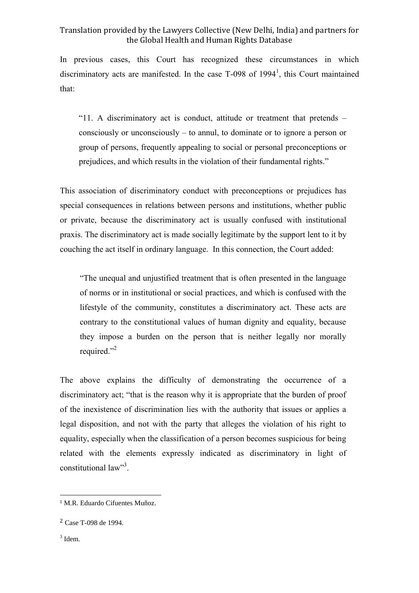In previous cases, this Court has recognized these circumstances in which discriminatory acts are manifested. In the case  $T-098$  of  $1994<sup>1</sup>$ , this Court maintained that:

"11. A discriminatory act is conduct, attitude or treatment that pretends – consciously or unconsciously – to annul, to dominate or to ignore a person or group of persons, frequently appealing to social or personal preconceptions or prejudices, and which results in the violation of their fundamental rights."

This association of discriminatory conduct with preconceptions or prejudices has special consequences in relations between persons and institutions, whether public or private, because the discriminatory act is usually confused with institutional praxis. The discriminatory act is made socially legitimate by the support lent to it by couching the act itself in ordinary language. In this connection, the Court added:

"The unequal and unjustified treatment that is often presented in the language of norms or in institutional or social practices, and which is confused with the lifestyle of the community, constitutes a discriminatory act. These acts are contrary to the constitutional values of human dignity and equality, because they impose a burden on the person that is neither legally nor morally required."<sup>2</sup>

The above explains the difficulty of demonstrating the occurrence of a discriminatory act; "that is the reason why it is appropriate that the burden of proof of the inexistence of discrimination lies with the authority that issues or applies a legal disposition, and not with the party that alleges the violation of his right to equality, especially when the classification of a person becomes suspicious for being related with the elements expressly indicated as discriminatory in light of constitutional law"<sup>3</sup>.

1

<sup>1</sup> M.R. Eduardo Cifuentes Muñoz.

<sup>2</sup> Case T-098 de 1994.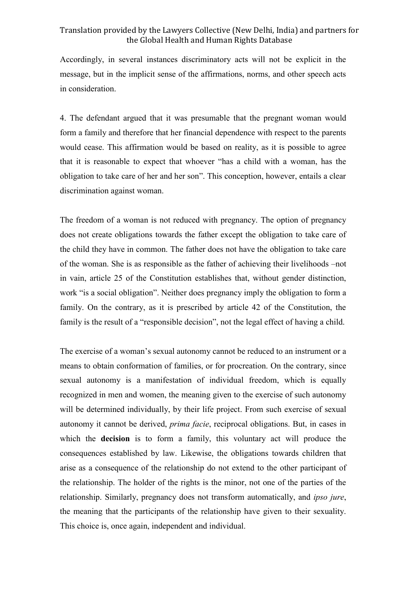Accordingly, in several instances discriminatory acts will not be explicit in the message, but in the implicit sense of the affirmations, norms, and other speech acts in consideration.

4. The defendant argued that it was presumable that the pregnant woman would form a family and therefore that her financial dependence with respect to the parents would cease. This affirmation would be based on reality, as it is possible to agree that it is reasonable to expect that whoever "has a child with a woman, has the obligation to take care of her and her son". This conception, however, entails a clear discrimination against woman.

The freedom of a woman is not reduced with pregnancy. The option of pregnancy does not create obligations towards the father except the obligation to take care of the child they have in common. The father does not have the obligation to take care of the woman. She is as responsible as the father of achieving their livelihoods –not in vain, article 25 of the Constitution establishes that, without gender distinction, work "is a social obligation". Neither does pregnancy imply the obligation to form a family. On the contrary, as it is prescribed by article 42 of the Constitution, the family is the result of a "responsible decision", not the legal effect of having a child.

The exercise of a woman's sexual autonomy cannot be reduced to an instrument or a means to obtain conformation of families, or for procreation. On the contrary, since sexual autonomy is a manifestation of individual freedom, which is equally recognized in men and women, the meaning given to the exercise of such autonomy will be determined individually, by their life project. From such exercise of sexual autonomy it cannot be derived, *prima facie*, reciprocal obligations. But, in cases in which the **decision** is to form a family, this voluntary act will produce the consequences established by law. Likewise, the obligations towards children that arise as a consequence of the relationship do not extend to the other participant of the relationship. The holder of the rights is the minor, not one of the parties of the relationship. Similarly, pregnancy does not transform automatically, and *ipso jure*, the meaning that the participants of the relationship have given to their sexuality. This choice is, once again, independent and individual.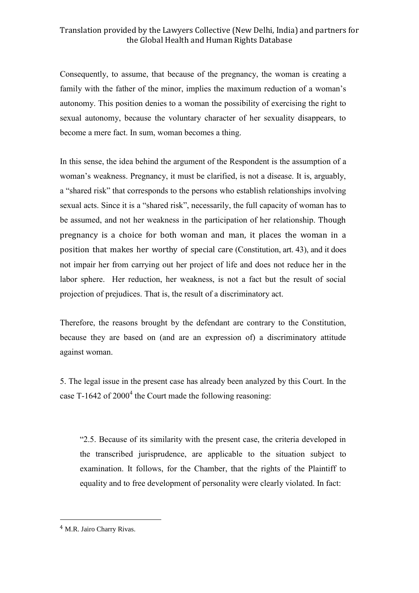Consequently, to assume, that because of the pregnancy, the woman is creating a family with the father of the minor, implies the maximum reduction of a woman's autonomy. This position denies to a woman the possibility of exercising the right to sexual autonomy, because the voluntary character of her sexuality disappears, to become a mere fact. In sum, woman becomes a thing.

In this sense, the idea behind the argument of the Respondent is the assumption of a woman's weakness. Pregnancy, it must be clarified, is not a disease. It is, arguably, a "shared risk" that corresponds to the persons who establish relationships involving sexual acts. Since it is a "shared risk", necessarily, the full capacity of woman has to be assumed, and not her weakness in the participation of her relationship. Though pregnancy is a choice for both woman and man, it places the woman in a position that makes her worthy of special care (Constitution, art. 43), and it does not impair her from carrying out her project of life and does not reduce her in the labor sphere. Her reduction, her weakness, is not a fact but the result of social projection of prejudices. That is, the result of a discriminatory act.

Therefore, the reasons brought by the defendant are contrary to the Constitution, because they are based on (and are an expression of) a discriminatory attitude against woman.

5. The legal issue in the present case has already been analyzed by this Court. In the case T-1642 of  $2000<sup>4</sup>$  the Court made the following reasoning:

"2.5. Because of its similarity with the present case, the criteria developed in the transcribed jurisprudence, are applicable to the situation subject to examination. It follows, for the Chamber, that the rights of the Plaintiff to equality and to free development of personality were clearly violated. In fact:

1

<sup>4</sup> M.R. Jairo Charry Rivas.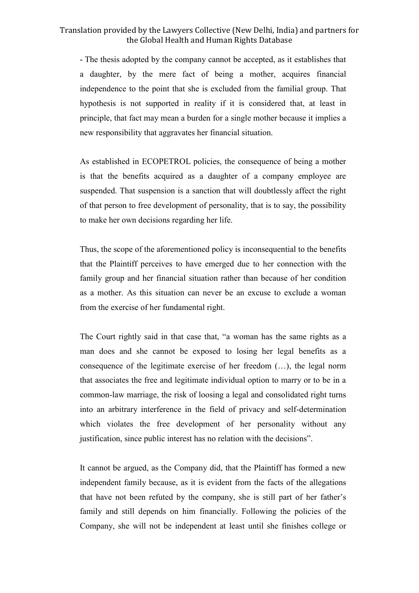- The thesis adopted by the company cannot be accepted, as it establishes that a daughter, by the mere fact of being a mother, acquires financial independence to the point that she is excluded from the familial group. That hypothesis is not supported in reality if it is considered that, at least in principle, that fact may mean a burden for a single mother because it implies a new responsibility that aggravates her financial situation.

As established in ECOPETROL policies, the consequence of being a mother is that the benefits acquired as a daughter of a company employee are suspended. That suspension is a sanction that will doubtlessly affect the right of that person to free development of personality, that is to say, the possibility to make her own decisions regarding her life.

Thus, the scope of the aforementioned policy is inconsequential to the benefits that the Plaintiff perceives to have emerged due to her connection with the family group and her financial situation rather than because of her condition as a mother. As this situation can never be an excuse to exclude a woman from the exercise of her fundamental right.

The Court rightly said in that case that, "a woman has the same rights as a man does and she cannot be exposed to losing her legal benefits as a consequence of the legitimate exercise of her freedom (…), the legal norm that associates the free and legitimate individual option to marry or to be in a common-law marriage, the risk of loosing a legal and consolidated right turns into an arbitrary interference in the field of privacy and self-determination which violates the free development of her personality without any justification, since public interest has no relation with the decisions".

It cannot be argued, as the Company did, that the Plaintiff has formed a new independent family because, as it is evident from the facts of the allegations that have not been refuted by the company, she is still part of her father's family and still depends on him financially. Following the policies of the Company, she will not be independent at least until she finishes college or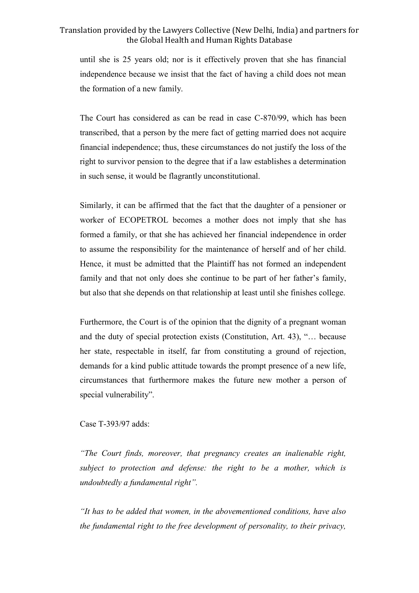until she is 25 years old; nor is it effectively proven that she has financial independence because we insist that the fact of having a child does not mean the formation of a new family.

The Court has considered as can be read in case C-870/99, which has been transcribed, that a person by the mere fact of getting married does not acquire financial independence; thus, these circumstances do not justify the loss of the right to survivor pension to the degree that if a law establishes a determination in such sense, it would be flagrantly unconstitutional.

Similarly, it can be affirmed that the fact that the daughter of a pensioner or worker of ECOPETROL becomes a mother does not imply that she has formed a family, or that she has achieved her financial independence in order to assume the responsibility for the maintenance of herself and of her child. Hence, it must be admitted that the Plaintiff has not formed an independent family and that not only does she continue to be part of her father's family, but also that she depends on that relationship at least until she finishes college.

Furthermore, the Court is of the opinion that the dignity of a pregnant woman and the duty of special protection exists (Constitution, Art. 43), "… because her state, respectable in itself, far from constituting a ground of rejection, demands for a kind public attitude towards the prompt presence of a new life, circumstances that furthermore makes the future new mother a person of special vulnerability".

Case T-393/97 adds:

*"The Court finds, moreover, that pregnancy creates an inalienable right, subject to protection and defense: the right to be a mother, which is undoubtedly a fundamental right".* 

*"It has to be added that women, in the abovementioned conditions, have also the fundamental right to the free development of personality, to their privacy,*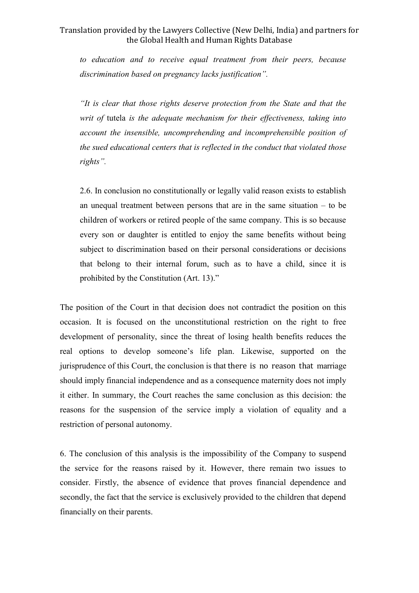*to education and to receive equal treatment from their peers, because discrimination based on pregnancy lacks justification".* 

*"It is clear that those rights deserve protection from the State and that the writ of* tutela *is the adequate mechanism for their effectiveness, taking into account the insensible, uncomprehending and incomprehensible position of the sued educational centers that is reflected in the conduct that violated those rights".*

2.6. In conclusion no constitutionally or legally valid reason exists to establish an unequal treatment between persons that are in the same situation – to be children of workers or retired people of the same company. This is so because every son or daughter is entitled to enjoy the same benefits without being subject to discrimination based on their personal considerations or decisions that belong to their internal forum, such as to have a child, since it is prohibited by the Constitution (Art. 13)."

The position of the Court in that decision does not contradict the position on this occasion. It is focused on the unconstitutional restriction on the right to free development of personality, since the threat of losing health benefits reduces the real options to develop someone's life plan. Likewise, supported on the jurisprudence of this Court, the conclusion is that there is no reason that marriage should imply financial independence and as a consequence maternity does not imply it either. In summary, the Court reaches the same conclusion as this decision: the reasons for the suspension of the service imply a violation of equality and a restriction of personal autonomy.

6. The conclusion of this analysis is the impossibility of the Company to suspend the service for the reasons raised by it. However, there remain two issues to consider. Firstly, the absence of evidence that proves financial dependence and secondly, the fact that the service is exclusively provided to the children that depend financially on their parents.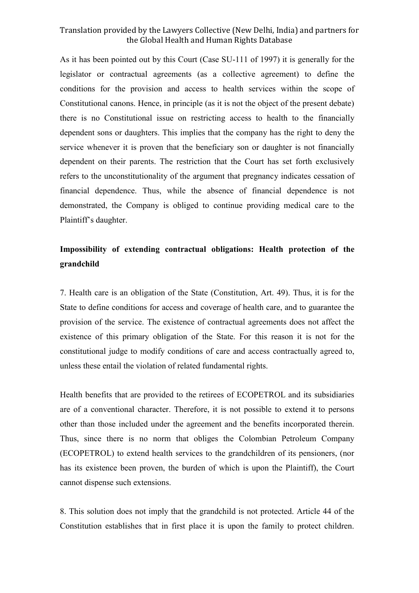As it has been pointed out by this Court (Case SU-111 of 1997) it is generally for the legislator or contractual agreements (as a collective agreement) to define the conditions for the provision and access to health services within the scope of Constitutional canons. Hence, in principle (as it is not the object of the present debate) there is no Constitutional issue on restricting access to health to the financially dependent sons or daughters. This implies that the company has the right to deny the service whenever it is proven that the beneficiary son or daughter is not financially dependent on their parents. The restriction that the Court has set forth exclusively refers to the unconstitutionality of the argument that pregnancy indicates cessation of financial dependence. Thus, while the absence of financial dependence is not demonstrated, the Company is obliged to continue providing medical care to the Plaintiff's daughter.

## **Impossibility of extending contractual obligations: Health protection of the grandchild**

7. Health care is an obligation of the State (Constitution, Art. 49). Thus, it is for the State to define conditions for access and coverage of health care, and to guarantee the provision of the service. The existence of contractual agreements does not affect the existence of this primary obligation of the State. For this reason it is not for the constitutional judge to modify conditions of care and access contractually agreed to, unless these entail the violation of related fundamental rights.

Health benefits that are provided to the retirees of ECOPETROL and its subsidiaries are of a conventional character. Therefore, it is not possible to extend it to persons other than those included under the agreement and the benefits incorporated therein. Thus, since there is no norm that obliges the Colombian Petroleum Company (ECOPETROL) to extend health services to the grandchildren of its pensioners, (nor has its existence been proven, the burden of which is upon the Plaintiff), the Court cannot dispense such extensions.

8. This solution does not imply that the grandchild is not protected. Article 44 of the Constitution establishes that in first place it is upon the family to protect children.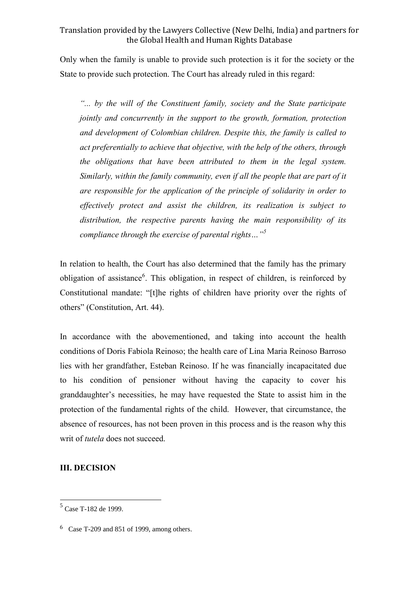Only when the family is unable to provide such protection is it for the society or the State to provide such protection. The Court has already ruled in this regard:

*"... by the will of the Constituent family, society and the State participate jointly and concurrently in the support to the growth, formation, protection and development of Colombian children. Despite this, the family is called to act preferentially to achieve that objective, with the help of the others, through the obligations that have been attributed to them in the legal system. Similarly, within the family community, even if all the people that are part of it are responsible for the application of the principle of solidarity in order to effectively protect and assist the children, its realization is subject to distribution, the respective parents having the main responsibility of its compliance through the exercise of parental rights…"<sup>5</sup>* 

In relation to health, the Court has also determined that the family has the primary obligation of assistance<sup>6</sup>. This obligation, in respect of children, is reinforced by Constitutional mandate: "[t]he rights of children have priority over the rights of others" (Constitution, Art. 44).

In accordance with the abovementioned, and taking into account the health conditions of Doris Fabiola Reinoso; the health care of Lina Maria Reinoso Barroso lies with her grandfather, Esteban Reinoso. If he was financially incapacitated due to his condition of pensioner without having the capacity to cover his granddaughter's necessities, he may have requested the State to assist him in the protection of the fundamental rights of the child. However, that circumstance, the absence of resources, has not been proven in this process and is the reason why this writ of *tutela* does not succeed.

#### **III. DECISION**

<u>.</u>

<sup>5</sup> Case T-182 de 1999.

<sup>6</sup> Case T-209 and 851 of 1999, among others.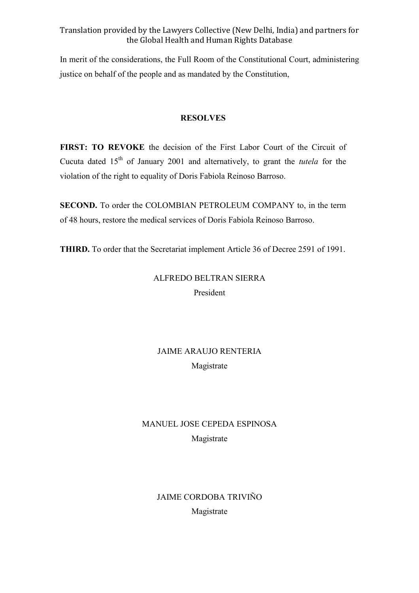In merit of the considerations, the Full Room of the Constitutional Court, administering justice on behalf of the people and as mandated by the Constitution,

#### **RESOLVES**

**FIRST: TO REVOKE** the decision of the First Labor Court of the Circuit of Cucuta dated 15th of January 2001 and alternatively, to grant the *tutela* for the violation of the right to equality of Doris Fabiola Reinoso Barroso.

**SECOND.** To order the COLOMBIAN PETROLEUM COMPANY to, in the term of 48 hours, restore the medical services of Doris Fabiola Reinoso Barroso.

**THIRD.** To order that the Secretariat implement Article 36 of Decree 2591 of 1991.

# ALFREDO BELTRAN SIERRA President

# JAIME ARAUJO RENTERIA Magistrate

# MANUEL JOSE CEPEDA ESPINOSA Magistrate

## JAIME CORDOBA TRIVIÑO Magistrate